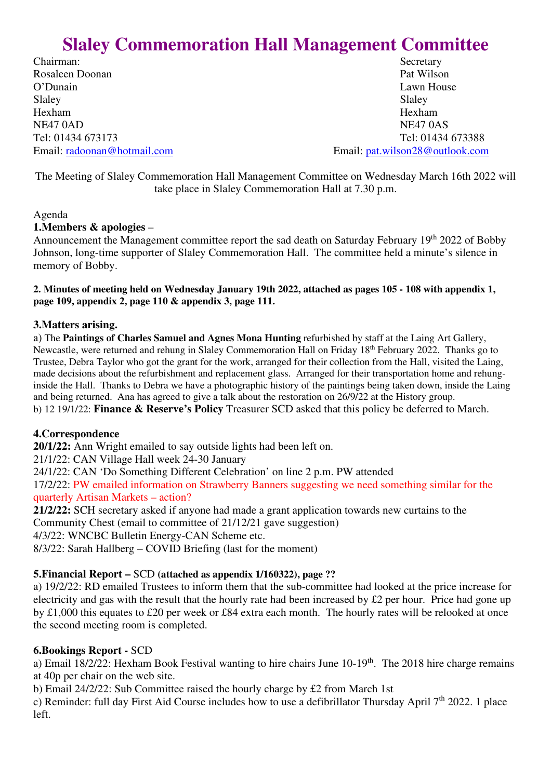# **Slaley Commemoration Hall Management Committee**

Chairman: Secretary Rosaleen Doonan Pat Wilson O'Dunain Lawn House Slaley Slaley Slaley Hexham Hexham NE47 0AD NE47 0AS

Tel: 01434 673173 Tel: 01434 673388 Email: radoonan@hotmail.com Email: pat.wilson28@outlook.com

The Meeting of Slaley Commemoration Hall Management Committee on Wednesday March 16th 2022 will take place in Slaley Commemoration Hall at 7.30 p.m.

#### Agenda

#### **1.Members & apologies** –

Announcement the Management committee report the sad death on Saturday February 19<sup>th</sup> 2022 of Bobby Johnson, long-time supporter of Slaley Commemoration Hall. The committee held a minute's silence in memory of Bobby.

**2. Minutes of meeting held on Wednesday January 19th 2022, attached as pages 105 - 108 with appendix 1, page 109, appendix 2, page 110 & appendix 3, page 111.** 

#### **3.Matters arising.**

a) The **Paintings of Charles Samuel and Agnes Mona Hunting** refurbished by staff at the Laing Art Gallery, Newcastle, were returned and rehung in Slaley Commemoration Hall on Friday 18th February 2022. Thanks go to Trustee, Debra Taylor who got the grant for the work, arranged for their collection from the Hall, visited the Laing, made decisions about the refurbishment and replacement glass. Arranged for their transportation home and rehunginside the Hall. Thanks to Debra we have a photographic history of the paintings being taken down, inside the Laing and being returned. Ana has agreed to give a talk about the restoration on 26/9/22 at the History group. b) 12 19/1/22: **Finance & Reserve's Policy** Treasurer SCD asked that this policy be deferred to March.

#### **4.Correspondence**

**20/1/22:** Ann Wright emailed to say outside lights had been left on.

21/1/22: CAN Village Hall week 24-30 January

24/1/22: CAN 'Do Something Different Celebration' on line 2 p.m. PW attended

17/2/22: PW emailed information on Strawberry Banners suggesting we need something similar for the quarterly Artisan Markets – action?

**21/2/22:** SCH secretary asked if anyone had made a grant application towards new curtains to the Community Chest (email to committee of 21/12/21 gave suggestion)

4/3/22: WNCBC Bulletin Energy-CAN Scheme etc.

8/3/22: Sarah Hallberg – COVID Briefing (last for the moment)

#### **5.Financial Report –** SCD **(attached as appendix 1/160322), page ??**

a) 19/2/22: RD emailed Trustees to inform them that the sub-committee had looked at the price increase for electricity and gas with the result that the hourly rate had been increased by  $\pounds 2$  per hour. Price had gone up by £1,000 this equates to £20 per week or £84 extra each month. The hourly rates will be relooked at once the second meeting room is completed.

#### **6.Bookings Report -** SCD

a) Email  $18/2/22$ : Hexham Book Festival wanting to hire chairs June 10-19<sup>th</sup>. The 2018 hire charge remains at 40p per chair on the web site.

b) Email 24/2/22: Sub Committee raised the hourly charge by £2 from March 1st

c) Reminder: full day First Aid Course includes how to use a defibrillator Thursday April  $7<sup>th</sup>$  2022. 1 place left.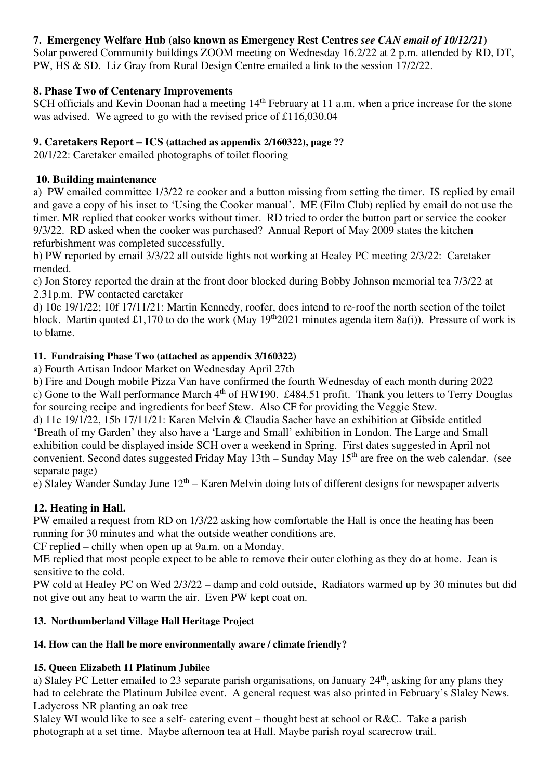## **7. Emergency Welfare Hub (also known as Emergency Rest Centres** *see CAN email of 10/12/21***)**

Solar powered Community buildings ZOOM meeting on Wednesday 16.2/22 at 2 p.m. attended by RD, DT, PW, HS & SD. Liz Gray from Rural Design Centre emailed a link to the session 17/2/22.

#### **8. Phase Two of Centenary Improvements**

SCH officials and Kevin Doonan had a meeting 14<sup>th</sup> February at 11 a.m. when a price increase for the stone was advised. We agreed to go with the revised price of £116,030.04

## **9. Caretakers Report – ICS (attached as appendix 2/160322), page ??**

20/1/22: Caretaker emailed photographs of toilet flooring

## **10. Building maintenance**

a) PW emailed committee 1/3/22 re cooker and a button missing from setting the timer. IS replied by email and gave a copy of his inset to 'Using the Cooker manual'. ME (Film Club) replied by email do not use the timer. MR replied that cooker works without timer. RD tried to order the button part or service the cooker 9/3/22. RD asked when the cooker was purchased? Annual Report of May 2009 states the kitchen refurbishment was completed successfully.

b) PW reported by email 3/3/22 all outside lights not working at Healey PC meeting 2/3/22: Caretaker mended.

c) Jon Storey reported the drain at the front door blocked during Bobby Johnson memorial tea 7/3/22 at 2.31p.m. PW contacted caretaker

d) 10c 19/1/22; 10f 17/11/21: Martin Kennedy, roofer, does intend to re-roof the north section of the toilet block. Martin quoted £1,170 to do the work (May 19<sup>th</sup>2021 minutes agenda item 8a(i)). Pressure of work is to blame.

## **11. Fundraising Phase Two (attached as appendix 3/160322)**

a) Fourth Artisan Indoor Market on Wednesday April 27th

b) Fire and Dough mobile Pizza Van have confirmed the fourth Wednesday of each month during 2022 c) Gone to the Wall performance March 4th of HW190. £484.51 profit. Thank you letters to Terry Douglas for sourcing recipe and ingredients for beef Stew. Also CF for providing the Veggie Stew.

d) 11c 19/1/22, 15b 17/11/21: Karen Melvin & Claudia Sacher have an exhibition at Gibside entitled 'Breath of my Garden' they also have a 'Large and Small' exhibition in London. The Large and Small exhibition could be displayed inside SCH over a weekend in Spring. First dates suggested in April not convenient. Second dates suggested Friday May  $13th$  – Sunday May  $15<sup>th</sup>$  are free on the web calendar. (see separate page)

e) Slaley Wander Sunday June  $12<sup>th</sup>$  – Karen Melvin doing lots of different designs for newspaper adverts

# **12. Heating in Hall.**

PW emailed a request from RD on 1/3/22 asking how comfortable the Hall is once the heating has been running for 30 minutes and what the outside weather conditions are.

CF replied – chilly when open up at 9a.m. on a Monday.

ME replied that most people expect to be able to remove their outer clothing as they do at home. Jean is sensitive to the cold.

PW cold at Healey PC on Wed 2/3/22 – damp and cold outside, Radiators warmed up by 30 minutes but did not give out any heat to warm the air. Even PW kept coat on.

# **13. Northumberland Village Hall Heritage Project**

# **14. How can the Hall be more environmentally aware / climate friendly?**

#### **15. Queen Elizabeth 11 Platinum Jubilee**

a) Slaley PC Letter emailed to 23 separate parish organisations, on January 24<sup>th</sup>, asking for any plans they had to celebrate the Platinum Jubilee event. A general request was also printed in February's Slaley News. Ladycross NR planting an oak tree

Slaley WI would like to see a self- catering event – thought best at school or R&C. Take a parish photograph at a set time. Maybe afternoon tea at Hall. Maybe parish royal scarecrow trail.